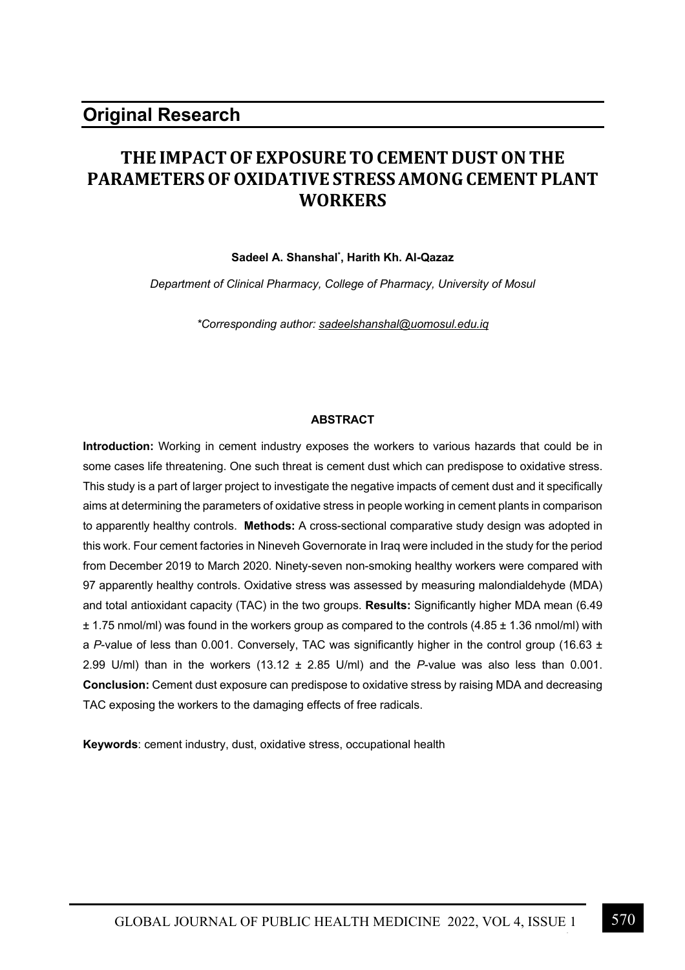# **THE IMPACT OF EXPOSURE TO CEMENT DUST ON THE PARAMETERS OF OXIDATIVE STRESS AMONG CEMENT PLANT WORKERS**

### **Sadeel A. Shanshal\* , Harith Kh. Al-Qazaz**

*Department of Clinical Pharmacy, College of Pharmacy, University of Mosul*

*\*Corresponding author: sadeelshanshal@uomosul.edu.iq*

#### **ABSTRACT**

**Introduction:** Working in cement industry exposes the workers to various hazards that could be in some cases life threatening. One such threat is cement dust which can predispose to oxidative stress. This study is a part of larger project to investigate the negative impacts of cement dust and it specifically aims at determining the parameters of oxidative stress in people working in cement plants in comparison to apparently healthy controls. **Methods:** A cross-sectional comparative study design was adopted in this work. Four cement factories in Nineveh Governorate in Iraq were included in the study for the period from December 2019 to March 2020. Ninety-seven non-smoking healthy workers were compared with 97 apparently healthy controls. Oxidative stress was assessed by measuring malondialdehyde (MDA) and total antioxidant capacity (TAC) in the two groups. **Results:** Significantly higher MDA mean (6.49  $\pm$  1.75 nmol/ml) was found in the workers group as compared to the controls (4.85  $\pm$  1.36 nmol/ml) with a *P*-value of less than 0.001. Conversely, TAC was significantly higher in the control group (16.63 ± 2.99 U/ml) than in the workers (13.12 ± 2.85 U/ml) and the *P*-value was also less than 0.001. **Conclusion:** Cement dust exposure can predispose to oxidative stress by raising MDA and decreasing TAC exposing the workers to the damaging effects of free radicals.

**Keywords**: cement industry, dust, oxidative stress, occupational health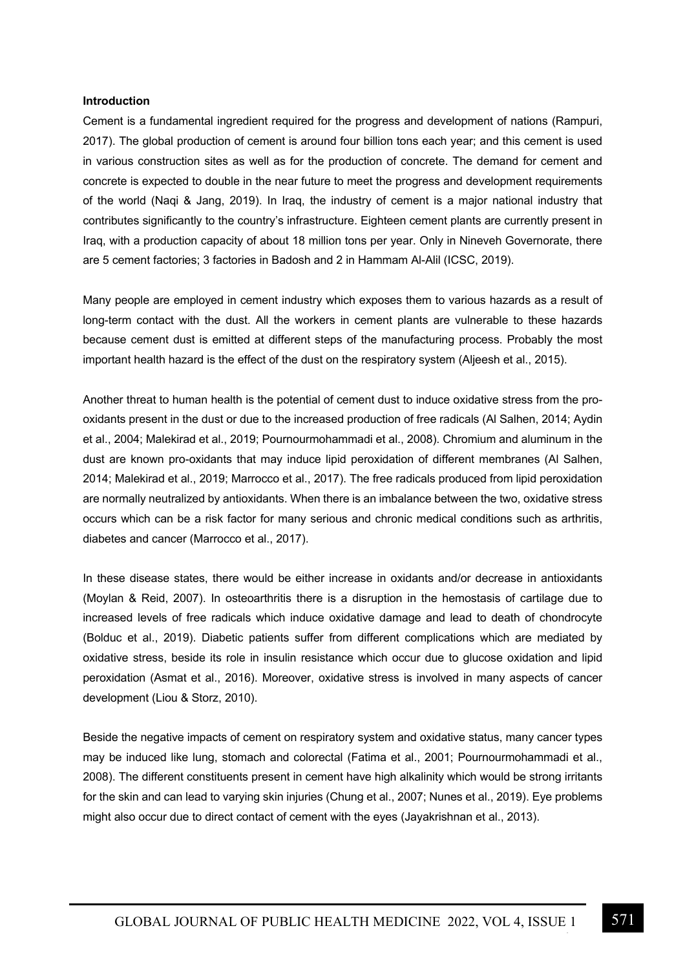#### **Introduction**

Cement is a fundamental ingredient required for the progress and development of nations (Rampuri, 2017). The global production of cement is around four billion tons each year; and this cement is used in various construction sites as well as for the production of concrete. The demand for cement and concrete is expected to double in the near future to meet the progress and development requirements of the world (Naqi & Jang, 2019). In Iraq, the industry of cement is a major national industry that contributes significantly to the country's infrastructure. Eighteen cement plants are currently present in Iraq, with a production capacity of about 18 million tons per year. Only in Nineveh Governorate, there are 5 cement factories; 3 factories in Badosh and 2 in Hammam Al-Alil (ICSC, 2019).

Many people are employed in cement industry which exposes them to various hazards as a result of long-term contact with the dust. All the workers in cement plants are vulnerable to these hazards because cement dust is emitted at different steps of the manufacturing process. Probably the most important health hazard is the effect of the dust on the respiratory system (Aljeesh et al., 2015).

Another threat to human health is the potential of cement dust to induce oxidative stress from the prooxidants present in the dust or due to the increased production of free radicals (Al Salhen, 2014; Aydin et al., 2004; Malekirad et al., 2019; Pournourmohammadi et al., 2008). Chromium and aluminum in the dust are known pro-oxidants that may induce lipid peroxidation of different membranes (Al Salhen, 2014; Malekirad et al., 2019; Marrocco et al., 2017). The free radicals produced from lipid peroxidation are normally neutralized by antioxidants. When there is an imbalance between the two, oxidative stress occurs which can be a risk factor for many serious and chronic medical conditions such as arthritis, diabetes and cancer (Marrocco et al., 2017).

In these disease states, there would be either increase in oxidants and/or decrease in antioxidants (Moylan & Reid, 2007). In osteoarthritis there is a disruption in the hemostasis of cartilage due to increased levels of free radicals which induce oxidative damage and lead to death of chondrocyte (Bolduc et al., 2019). Diabetic patients suffer from different complications which are mediated by oxidative stress, beside its role in insulin resistance which occur due to glucose oxidation and lipid peroxidation (Asmat et al., 2016). Moreover, oxidative stress is involved in many aspects of cancer development (Liou & Storz, 2010).

Beside the negative impacts of cement on respiratory system and oxidative status, many cancer types may be induced like lung, stomach and colorectal (Fatima et al., 2001; Pournourmohammadi et al., 2008). The different constituents present in cement have high alkalinity which would be strong irritants for the skin and can lead to varying skin injuries (Chung et al., 2007; Nunes et al., 2019). Eye problems might also occur due to direct contact of cement with the eyes (Jayakrishnan et al., 2013).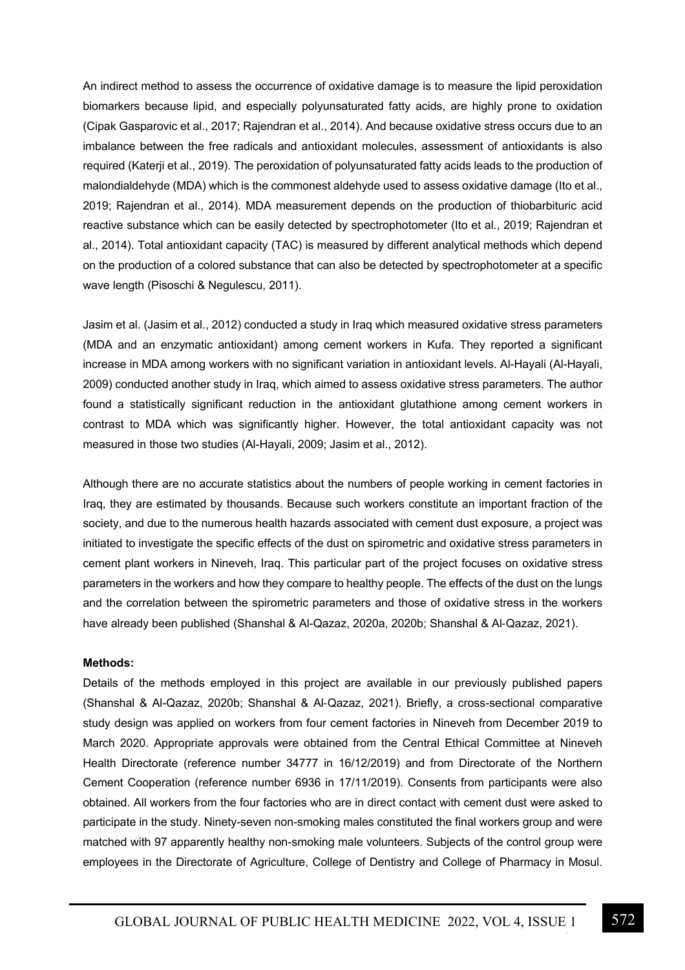An indirect method to assess the occurrence of oxidative damage is to measure the lipid peroxidation biomarkers because lipid, and especially polyunsaturated fatty acids, are highly prone to oxidation (Cipak Gasparovic et al., 2017; Rajendran et al., 2014). And because oxidative stress occurs due to an imbalance between the free radicals and antioxidant molecules, assessment of antioxidants is also required (Katerji et al., 2019). The peroxidation of polyunsaturated fatty acids leads to the production of malondialdehyde (MDA) which is the commonest aldehyde used to assess oxidative damage (Ito et al., 2019; Rajendran et al., 2014). MDA measurement depends on the production of thiobarbituric acid reactive substance which can be easily detected by spectrophotometer (Ito et al., 2019; Rajendran et al., 2014). Total antioxidant capacity (TAC) is measured by different analytical methods which depend on the production of a colored substance that can also be detected by spectrophotometer at a specific wave length (Pisoschi & Negulescu, 2011).

Jasim et al. (Jasim et al., 2012) conducted a study in Iraq which measured oxidative stress parameters (MDA and an enzymatic antioxidant) among cement workers in Kufa. They reported a significant increase in MDA among workers with no significant variation in antioxidant levels. Al-Hayali (Al-Hayali, 2009) conducted another study in Iraq, which aimed to assess oxidative stress parameters. The author found a statistically significant reduction in the antioxidant glutathione among cement workers in contrast to MDA which was significantly higher. However, the total antioxidant capacity was not measured in those two studies (Al-Hayali, 2009; Jasim et al., 2012).

Although there are no accurate statistics about the numbers of people working in cement factories in Iraq, they are estimated by thousands. Because such workers constitute an important fraction of the society, and due to the numerous health hazards associated with cement dust exposure, a project was initiated to investigate the specific effects of the dust on spirometric and oxidative stress parameters in cement plant workers in Nineveh, Iraq. This particular part of the project focuses on oxidative stress parameters in the workers and how they compare to healthy people. The effects of the dust on the lungs and the correlation between the spirometric parameters and those of oxidative stress in the workers have already been published (Shanshal & Al-Qazaz, 2020a, 2020b; Shanshal & Al-Qazaz, 2021).

#### **Methods:**

Details of the methods employed in this project are available in our previously published papers (Shanshal & Al-Qazaz, 2020b; Shanshal & Al-Qazaz, 2021). Briefly, a cross-sectional comparative study design was applied on workers from four cement factories in Nineveh from December 2019 to March 2020. Appropriate approvals were obtained from the Central Ethical Committee at Nineveh Health Directorate (reference number 34777 in 16/12/2019) and from Directorate of the Northern Cement Cooperation (reference number 6936 in 17/11/2019). Consents from participants were also obtained. All workers from the four factories who are in direct contact with cement dust were asked to participate in the study. Ninety-seven non-smoking males constituted the final workers group and were matched with 97 apparently healthy non-smoking male volunteers. Subjects of the control group were employees in the Directorate of Agriculture, College of Dentistry and College of Pharmacy in Mosul.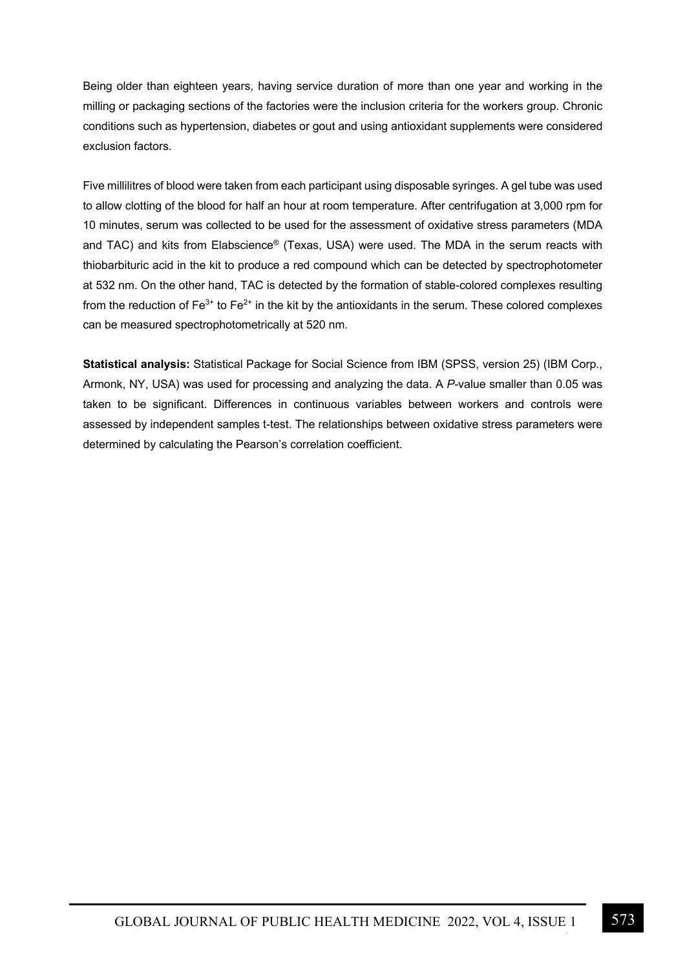Being older than eighteen years, having service duration of more than one year and working in the milling or packaging sections of the factories were the inclusion criteria for the workers group. Chronic conditions such as hypertension, diabetes or gout and using antioxidant supplements were considered exclusion factors.

Five millilitres of blood were taken from each participant using disposable syringes. A gel tube was used to allow clotting of the blood for half an hour at room temperature. After centrifugation at 3,000 rpm for 10 minutes, serum was collected to be used for the assessment of oxidative stress parameters (MDA and TAC) and kits from Elabscience® (Texas, USA) were used. The MDA in the serum reacts with thiobarbituric acid in the kit to produce a red compound which can be detected by spectrophotometer at 532 nm. On the other hand, TAC is detected by the formation of stable-colored complexes resulting from the reduction of  $Fe^{3+}$  to  $Fe^{2+}$  in the kit by the antioxidants in the serum. These colored complexes can be measured spectrophotometrically at 520 nm.

**Statistical analysis:** Statistical Package for Social Science from IBM (SPSS, version 25) (IBM Corp., Armonk, NY, USA) was used for processing and analyzing the data. A *P*-value smaller than 0.05 was taken to be significant. Differences in continuous variables between workers and controls were assessed by independent samples t-test. The relationships between oxidative stress parameters were determined by calculating the Pearson's correlation coefficient.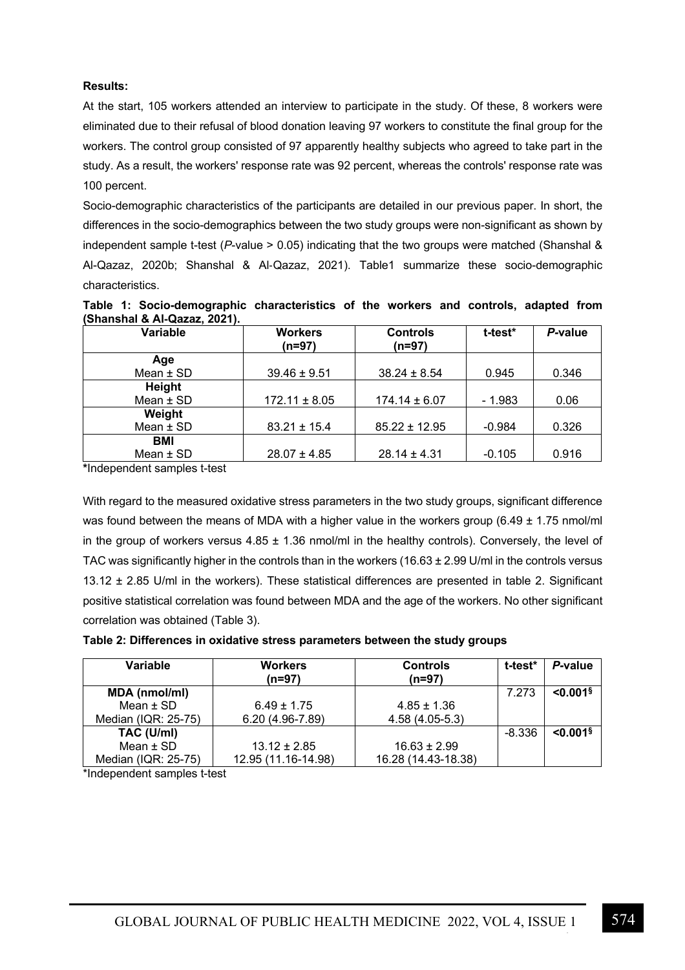# **Results:**

At the start, 105 workers attended an interview to participate in the study. Of these, 8 workers were eliminated due to their refusal of blood donation leaving 97 workers to constitute the final group for the workers. The control group consisted of 97 apparently healthy subjects who agreed to take part in the study. As a result, the workers' response rate was 92 percent, whereas the controls' response rate was 100 percent.

Socio-demographic characteristics of the participants are detailed in our previous paper. In short, the differences in the socio-demographics between the two study groups were non-significant as shown by independent sample t-test (*P*-value > 0.05) indicating that the two groups were matched (Shanshal & Al-Qazaz, 2020b; Shanshal & Al-Qazaz, 2021). Table1 summarize these socio-demographic characteristics.

| Table 1: Socio-demographic characteristics of the workers and controls, adapted from |  |  |  |  |
|--------------------------------------------------------------------------------------|--|--|--|--|
| (Shanshal & Al-Qazaz, 2021).                                                         |  |  |  |  |

| <b>Variable</b> | <b>Workers</b><br>$(n=97)$ | <b>Controls</b><br>$(n=97)$ | t-test*  | P-value |
|-----------------|----------------------------|-----------------------------|----------|---------|
| Age             |                            |                             |          |         |
| Mean $±$ SD     | $39.46 \pm 9.51$           | $38.24 \pm 8.54$            | 0.945    | 0.346   |
| Height          |                            |                             |          |         |
| Mean $±$ SD     | $172.11 \pm 8.05$          | $174.14 \pm 6.07$           | $-1.983$ | 0.06    |
| Weight          |                            |                             |          |         |
| Mean $±$ SD     | $83.21 \pm 15.4$           | $85.22 \pm 12.95$           | $-0.984$ | 0.326   |
| BMI             |                            |                             |          |         |
| Mean $\pm$ SD   | $28.07 \pm 4.85$           | $28.14 \pm 4.31$            | $-0.105$ | 0.916   |

**\***Independent samples t-test

With regard to the measured oxidative stress parameters in the two study groups, significant difference was found between the means of MDA with a higher value in the workers group (6.49  $\pm$  1.75 nmol/ml in the group of workers versus  $4.85 \pm 1.36$  nmol/ml in the healthy controls). Conversely, the level of TAC was significantly higher in the controls than in the workers (16.63  $\pm$  2.99 U/ml in the controls versus 13.12 ± 2.85 U/ml in the workers). These statistical differences are presented in table 2. Significant positive statistical correlation was found between MDA and the age of the workers. No other significant correlation was obtained (Table 3).

| Variable             | <b>Workers</b><br>(n=97) | <b>Controls</b><br>(n=97) | t-test*  | P-value                |
|----------------------|--------------------------|---------------------------|----------|------------------------|
| <b>MDA</b> (nmol/ml) |                          |                           | 7.273    | $< 0.001$ <sup>§</sup> |
| Mean $\pm$ SD        | $6.49 \pm 1.75$          | $4.85 \pm 1.36$           |          |                        |
| Median (IQR: 25-75)  | 6.20 (4.96-7.89)         | $4.58(4.05-5.3)$          |          |                        |
| TAC (U/ml)           |                          |                           | $-8.336$ | $< 0.001$ <sup>§</sup> |
| Mean $±$ SD          | $13.12 \pm 2.85$         | $16.63 \pm 2.99$          |          |                        |
| Median (IQR: 25-75)  | 12.95 (11.16-14.98)      | 16.28 (14.43-18.38)       |          |                        |

\*Independent samples t-test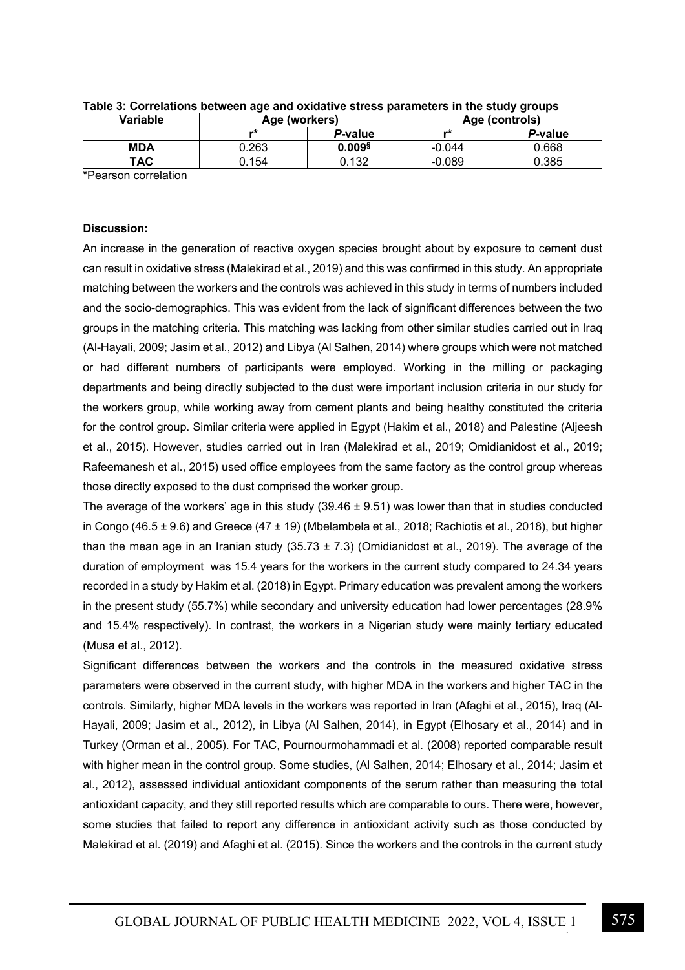| P-value<br>P-value<br>*<br><br>$0.009$ §<br><b>MDA</b><br>$-0.044$ | Variable | Age (workers) |  | Age (controls) |       |  |
|--------------------------------------------------------------------|----------|---------------|--|----------------|-------|--|
|                                                                    |          |               |  |                |       |  |
|                                                                    |          | 0.263         |  |                | 0.668 |  |
| ТАС<br>).154<br>0.385<br>0.132<br>$-0.089$                         |          |               |  |                |       |  |

| Table 3: Correlations between age and oxidative stress parameters in the study groups |  |  |
|---------------------------------------------------------------------------------------|--|--|
|                                                                                       |  |  |

\*Pearson correlation

#### **Discussion:**

An increase in the generation of reactive oxygen species brought about by exposure to cement dust can result in oxidative stress (Malekirad et al., 2019) and this was confirmed in this study. An appropriate matching between the workers and the controls was achieved in this study in terms of numbers included and the socio-demographics. This was evident from the lack of significant differences between the two groups in the matching criteria. This matching was lacking from other similar studies carried out in Iraq (Al-Hayali, 2009; Jasim et al., 2012) and Libya (Al Salhen, 2014) where groups which were not matched or had different numbers of participants were employed. Working in the milling or packaging departments and being directly subjected to the dust were important inclusion criteria in our study for the workers group, while working away from cement plants and being healthy constituted the criteria for the control group. Similar criteria were applied in Egypt (Hakim et al., 2018) and Palestine (Aljeesh et al., 2015). However, studies carried out in Iran (Malekirad et al., 2019; Omidianidost et al., 2019; Rafeemanesh et al., 2015) used office employees from the same factory as the control group whereas those directly exposed to the dust comprised the worker group.

The average of the workers' age in this study  $(39.46 \pm 9.51)$  was lower than that in studies conducted in Congo (46.5  $\pm$  9.6) and Greece (47  $\pm$  19) (Mbelambela et al., 2018; Rachiotis et al., 2018), but higher than the mean age in an Iranian study  $(35.73 \pm 7.3)$  (Omidianidost et al., 2019). The average of the duration of employment was 15.4 years for the workers in the current study compared to 24.34 years recorded in a study by Hakim et al. (2018) in Egypt. Primary education was prevalent among the workers in the present study (55.7%) while secondary and university education had lower percentages (28.9% and 15.4% respectively). In contrast, the workers in a Nigerian study were mainly tertiary educated (Musa et al., 2012).

Significant differences between the workers and the controls in the measured oxidative stress parameters were observed in the current study, with higher MDA in the workers and higher TAC in the controls. Similarly, higher MDA levels in the workers was reported in Iran (Afaghi et al., 2015), Iraq (Al-Hayali, 2009; Jasim et al., 2012), in Libya (Al Salhen, 2014), in Egypt (Elhosary et al., 2014) and in Turkey (Orman et al., 2005). For TAC, Pournourmohammadi et al. (2008) reported comparable result with higher mean in the control group. Some studies, (Al Salhen, 2014; Elhosary et al., 2014; Jasim et al., 2012), assessed individual antioxidant components of the serum rather than measuring the total antioxidant capacity, and they still reported results which are comparable to ours. There were, however, some studies that failed to report any difference in antioxidant activity such as those conducted by Malekirad et al. (2019) and Afaghi et al. (2015). Since the workers and the controls in the current study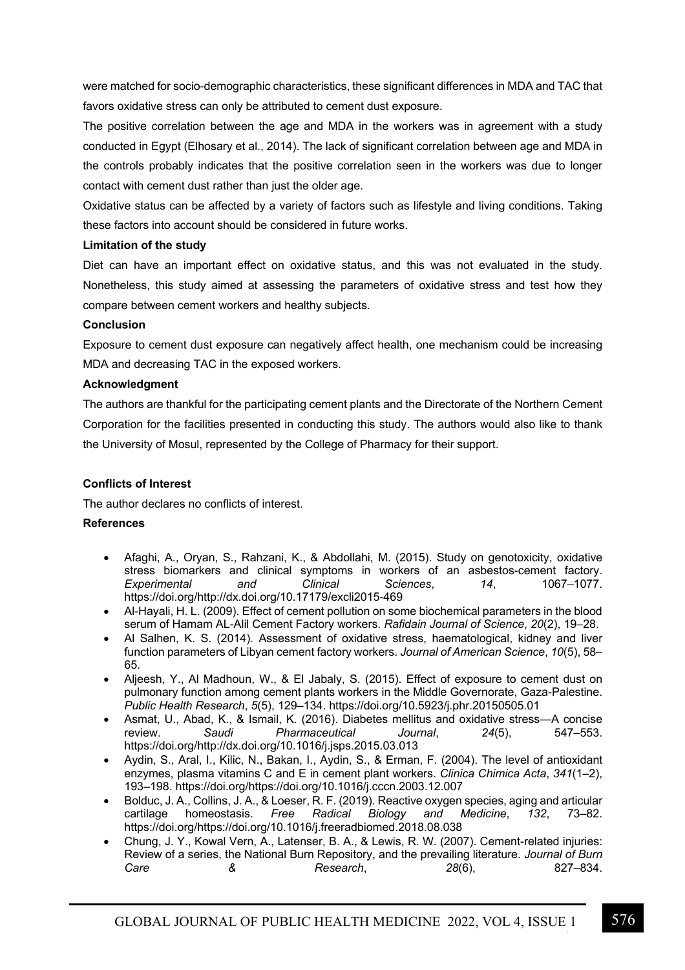were matched for socio-demographic characteristics, these significant differences in MDA and TAC that favors oxidative stress can only be attributed to cement dust exposure.

The positive correlation between the age and MDA in the workers was in agreement with a study conducted in Egypt (Elhosary et al., 2014). The lack of significant correlation between age and MDA in the controls probably indicates that the positive correlation seen in the workers was due to longer contact with cement dust rather than just the older age.

Oxidative status can be affected by a variety of factors such as lifestyle and living conditions. Taking these factors into account should be considered in future works.

## **Limitation of the study**

Diet can have an important effect on oxidative status, and this was not evaluated in the study. Nonetheless, this study aimed at assessing the parameters of oxidative stress and test how they compare between cement workers and healthy subjects.

## **Conclusion**

Exposure to cement dust exposure can negatively affect health, one mechanism could be increasing MDA and decreasing TAC in the exposed workers.

## **Acknowledgment**

The authors are thankful for the participating cement plants and the Directorate of the Northern Cement Corporation for the facilities presented in conducting this study. The authors would also like to thank the University of Mosul, represented by the College of Pharmacy for their support.

## **Conflicts of Interest**

The author declares no conflicts of interest.

## **References**

- Afaghi, A., Oryan, S., Rahzani, K., & Abdollahi, M. (2015). Study on genotoxicity, oxidative stress biomarkers and clinical symptoms in workers of an asbestos-cement factory.<br>Experimental and Clinical Sciences. 14. 1067–1077. *Experimental and Clinical Sciences*, *14*, 1067–1077. https://doi.org/http://dx.doi.org/10.17179/excli2015-469
- Al-Hayali, H. L. (2009). Effect of cement pollution on some biochemical parameters in the blood serum of Hamam AL-Alil Cement Factory workers. *Rafidain Journal of Science*, *20*(2), 19–28.
- Al Salhen, K. S. (2014). Assessment of oxidative stress, haematological, kidney and liver function parameters of Libyan cement factory workers. *Journal of American Science*, *10*(5), 58– 65.
- Aljeesh, Y., Al Madhoun, W., & El Jabaly, S. (2015). Effect of exposure to cement dust on pulmonary function among cement plants workers in the Middle Governorate, Gaza-Palestine. *Public Health Research*, *5*(5), 129–134. https://doi.org/10.5923/j.phr.20150505.01
- Asmat, U., Abad, K., & Ismail, K. (2016). Diabetes mellitus and oxidative stress—A concise review. *Saudi Pharmaceutical Journal*, *24*(5), 547–553. https://doi.org/http://dx.doi.org/10.1016/j.jsps.2015.03.013
- Aydin, S., Aral, I., Kilic, N., Bakan, I., Aydin, S., & Erman, F. (2004). The level of antioxidant enzymes, plasma vitamins C and E in cement plant workers. *Clinica Chimica Acta*, *341*(1–2), 193–198. https://doi.org/https://doi.org/10.1016/j.cccn.2003.12.007
- Bolduc, J. A., Collins, J. A., & Loeser, R. F. (2019). Reactive oxygen species, aging and articular cartilage homeostasis. *Free Radical Biology and Medicine*, *132*, 73–82. https://doi.org/https://doi.org/10.1016/j.freeradbiomed.2018.08.038
- Chung, J. Y., Kowal Vern, A., Latenser, B. A., & Lewis, R. W. (2007). Cement-related injuries: Review of a series, the National Burn Repository, and the prevailing literature. *Journal of Burn Care & Research*, *28*(6), 827–834.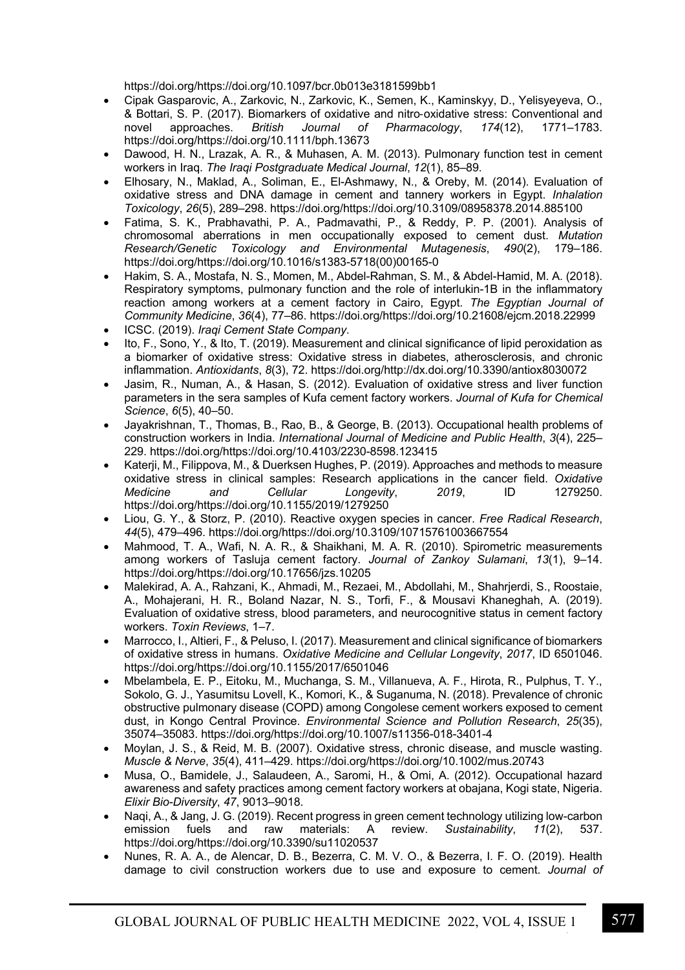https://doi.org/https://doi.org/10.1097/bcr.0b013e3181599bb1

- Cipak Gasparovic, A., Zarkovic, N., Zarkovic, K., Semen, K., Kaminskyy, D., Yelisyeyeva, O., & Bottari, S. P. (2017). Biomarkers of oxidative and nitro-oxidative stress: Conventional and novel approaches. British Journal of Pharmacology. 174(12). 1771–1783. novel approaches. *British Journal of Pharmacology*, 174(12), https://doi.org/https://doi.org/10.1111/bph.13673
- Dawood, H. N., Lrazak, A. R., & Muhasen, A. M. (2013). Pulmonary function test in cement workers in Iraq. *The Iraqi Postgraduate Medical Journal*, *12*(1), 85–89.
- Elhosary, N., Maklad, A., Soliman, E., El-Ashmawy, N., & Oreby, M. (2014). Evaluation of oxidative stress and DNA damage in cement and tannery workers in Egypt. *Inhalation Toxicology*, *26*(5), 289–298. https://doi.org/https://doi.org/10.3109/08958378.2014.885100
- Fatima, S. K., Prabhavathi, P. A., Padmavathi, P., & Reddy, P. P. (2001). Analysis of chromosomal aberrations in men occupationally exposed to cement dust. *Mutation Research/Genetic Toxicology and Environmental Mutagenesis*, *490*(2), 179–186. https://doi.org/https://doi.org/10.1016/s1383-5718(00)00165-0
- Hakim, S. A., Mostafa, N. S., Momen, M., Abdel-Rahman, S. M., & Abdel-Hamid, M. A. (2018). Respiratory symptoms, pulmonary function and the role of interlukin-1Β in the inflammatory reaction among workers at a cement factory in Cairo, Egypt. *The Egyptian Journal of Community Medicine*, *36*(4), 77–86. https://doi.org/https://doi.org/10.21608/ejcm.2018.22999
- ICSC. (2019). *Iraqi Cement State Company*.
- Ito, F., Sono, Y., & Ito, T. (2019). Measurement and clinical significance of lipid peroxidation as a biomarker of oxidative stress: Oxidative stress in diabetes, atherosclerosis, and chronic inflammation. *Antioxidants*, *8*(3), 72. https://doi.org/http://dx.doi.org/10.3390/antiox8030072
- Jasim, R., Numan, A., & Hasan, S. (2012). Evaluation of oxidative stress and liver function parameters in the sera samples of Kufa cement factory workers. *Journal of Kufa for Chemical Science*, *6*(5), 40–50.
- Jayakrishnan, T., Thomas, B., Rao, B., & George, B. (2013). Occupational health problems of construction workers in India. *International Journal of Medicine and Public Health*, *3*(4), 225– 229. https://doi.org/https://doi.org/10.4103/2230-8598.123415
- Katerji, M., Filippova, M., & Duerksen Hughes, P. (2019). Approaches and methods to measure oxidative stress in clinical samples: Research applications in the cancer field. *Oxidative Medicine and Cellular Longevity*, *2019*, ID 1279250. https://doi.org/https://doi.org/10.1155/2019/1279250
- Liou, G. Y., & Storz, P. (2010). Reactive oxygen species in cancer. *Free Radical Research*, *44*(5), 479–496. https://doi.org/https://doi.org/10.3109/10715761003667554
- Mahmood, T. A., Wafi, N. A. R., & Shaikhani, M. A. R. (2010). Spirometric measurements among workers of Tasluja cement factory. *Journal of Zankoy Sulamani*, *13*(1), 9–14. https://doi.org/https://doi.org/10.17656/jzs.10205
- Malekirad, A. A., Rahzani, K., Ahmadi, M., Rezaei, M., Abdollahi, M., Shahrjerdi, S., Roostaie, A., Mohajerani, H. R., Boland Nazar, N. S., Torfi, F., & Mousavi Khaneghah, A. (2019). Evaluation of oxidative stress, blood parameters, and neurocognitive status in cement factory workers. *Toxin Reviews*, 1–7.
- Marrocco, I., Altieri, F., & Peluso, I. (2017). Measurement and clinical significance of biomarkers of oxidative stress in humans. *Oxidative Medicine and Cellular Longevity*, *2017*, ID 6501046. https://doi.org/https://doi.org/10.1155/2017/6501046
- Mbelambela, E. P., Eitoku, M., Muchanga, S. M., Villanueva, A. F., Hirota, R., Pulphus, T. Y., Sokolo, G. J., Yasumitsu Lovell, K., Komori, K., & Suganuma, N. (2018). Prevalence of chronic obstructive pulmonary disease (COPD) among Congolese cement workers exposed to cement dust, in Kongo Central Province. *Environmental Science and Pollution Research*, *25*(35), 35074–35083. https://doi.org/https://doi.org/10.1007/s11356-018-3401-4
- Moylan, J. S., & Reid, M. B. (2007). Oxidative stress, chronic disease, and muscle wasting. *Muscle & Nerve*, *35*(4), 411–429. https://doi.org/https://doi.org/10.1002/mus.20743
- Musa, O., Bamidele, J., Salaudeen, A., Saromi, H., & Omi, A. (2012). Occupational hazard awareness and safety practices among cement factory workers at obajana, Kogi state, Nigeria. *Elixir Bio-Diversity*, *47*, 9013–9018.
- Naqi, A., & Jang, J. G. (2019). Recent progress in green cement technology utilizing low-carbon emission fuels and raw materials: A review. *Sustainability*, *11*(2), 537. https://doi.org/https://doi.org/10.3390/su11020537
- Nunes, R. A. A., de Alencar, D. B., Bezerra, C. M. V. O., & Bezerra, I. F. O. (2019). Health damage to civil construction workers due to use and exposure to cement. *Journal of*